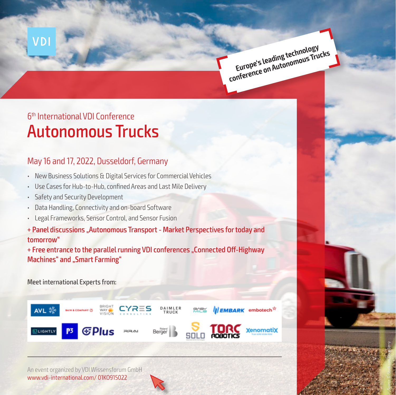**Europe's leading technology curves requires consumers**<br>conference on Autonomous Trucks

Source: © iStock.com\_Doug Berry

# Autonomous Trucks 6th International VDI Conference

## May 16 and 17, 2022, Dusseldorf, Germany

- New Business Solutions & Digital Services for Commercial Vehicles
- Use Cases for Hub-to-Hub, confined Areas and Last Mile Delivery
- Safety and Security Development

VDI

- Data Handling, Connectivity and on-board Software
- Legal Frameworks, Sensor Control, and Sensor Fusion
- + Panel discussions "Autonomous Transport Market Perspectives for today and tomorrow"

+ Free entrance to the parallel running VDI conferences "Connected Off-Highway Machines" and "Smart Farming"

Meet international Experts from:



An event organized by VDI Wissensforum GmbH www.vdi-international.com/ 01KO915022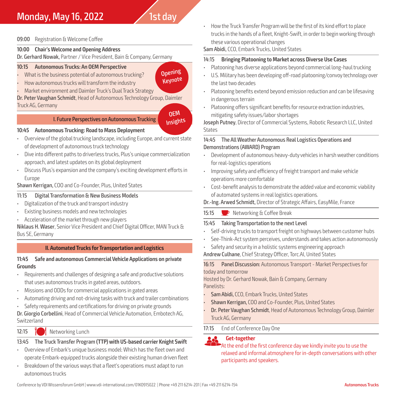## **Monday, May 16, 2022** 1st day

#### 09:00 Registration & Welcome Coffee

#### **10:00 Chair's Welcome and Opening Address**

Dr. Gerhard Nowak, Partner / Vice President, Bain & Company, Germany

#### **10:15 Autonomous Trucks: An OEM Perspective**

- What is the business potential of autonomous trucking?
- How autonomous trucks will transform the industry
- Market environment and Daimler Truck's Dual Track Strategy

Dr. Peter Vaughan Schmidt, Head of Autonomous Technology Group, Daimler Truck AG, Germany

#### OEM Insights

**Opening Keynote** 

#### I. Future Perspectives on Autonomous Trucking

#### **10:45 Autonomous Trucking: Road to Mass Deployment**

- Overview of the global trucking landscape, including Europe, and current state of development of autonomous truck technology
- Dive into different paths to driverless trucks, Plus's unique commercialization approach, and latest updates on its global deployment
- Discuss Plus's expansion and the company's exciting development efforts in Europe

Shawn Kerrigan, COO and Co-Founder, Plus, United States

#### 11:15 Digital Transformation & New Business Models

- Digitalization of the truck and transport industry
- Existing business models and new technologies
- Acceleration of the market through new players

Niklaus H. Waser, Senior Vice President and Chief Digital Officer, MAN Truck & Bus SE, Germany

## **II. Automated Trucks for Transportation and Logistics**

#### **11:45 Safe and autonomous Commercial Vehicle Applications on private Grounds**

- Requirements and challenges of designing a safe and productive solutions that uses autonomous trucks in gated areas, outdoors.
- Missions and ODDs for commercial applications in gated areas
- Automating driving and not-driving tasks with truck and trailer combinations
- Safety requirements and certifications for driving on private grounds

Dr. Giorgio Corbellini, Head of Commercial Vehicle Automation, Embotech AG, Switzerland

#### 12:15 **M** Networking Lunch

## 13:45 The Truck Transfer Program **(TTP) with US-based carrier Knight Swift**

- Overview of Embark's unique business model: Which has the fleet own and operate Embark-equipped trucks alongside their existing human driven fleet
- Breakdown of the various ways that a fleet's operations must adapt to run autonomous trucks

• How the Truck Transfer Program will be the first of its kind effort to place trucks in the hands of a fleet, Knight-Swift, in order to begin working through these various operational changes

Sam Abidi, CCO, Embark Trucks, United States

#### 14:15 **Bringing Platooning to Market across Diverse Use Cases**

- Platooning has diverse applications beyond commercial long-haul trucking
- U.S. Military has been developing off-road platooning/convoy technology over the last two decades
- Platooning benefits extend beyond emission reduction and can be lifesaving in dangerous terrain
- Platooning offers significant benefits for resource extraction industries, mitigating safety issues/labor shortages

Joseph Putney, Director of Commercial Systems, Robotic Research LLC, United **States** 

#### 14:45 The All Weather Autonomous Real Logistics Operations and Demonstrations (AWARD) Program

- Development of autonomous heavy-duty vehicles in harsh weather conditions for real-logistics operations
- Improving safety and efficiency of freight transport and make vehicle operations more comfortable
- Cost-benefit analysis to demonstrate the added value and economic viability of automated systems in real logistics operations.

Dr.-Ing. Arwed Schmidt, Director of Strategic Affairs, EasyMile, France

## 15:15 P Networking & Coffee Break

## 15:45 Taking Transportation to the next Level

- Self-driving trucks to transport freight on highways between customer hubs
- See-Think-Act system perceives, understands and takes action autonomously
- Safety and security in a holistic systems engineering approach
- Andrew Culhane, Chief Strategy Officer, Torc.AI, United States

#### 16:15 Panel Discussion: Autonomous Transport - Market Perspectives for today and tomorrow

Hosted by Dr. Gerhard Nowak, Bain & Company, Germany Panelists:

- Sam Abidi, CCO, Embark Trucks, United States
- Shawn Kerrigan, COO and Co-Founder, Plus, United States
- Dr. Peter Vaughan Schmidt, Head of Autonomous Technology Group, Daimler Truck AG, Germany
- 17:15 End of Conference Day One

**Computer Considering Conference day we kindly invite you to use the set of the first conference day we kindly invite you to use the** relaxed and informal atmosphere for in-depth conversations with other participants and speakers.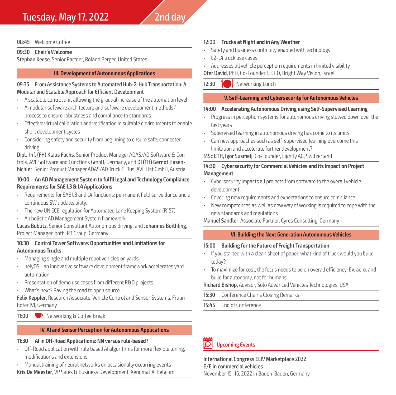## Tuesday, May 17, 2022  $\sqrt{2}$ nd day

#### 08:45 Welcome Coffee

#### **09:30 Chair's Welcome**

Stephan Keese, Senior Partner, Roland Berger, United States

#### **III. Development of Autonomous Applications**

#### 09:35 From Assistance Systems to Automated Hub-2-Hub Transportation: A Modular and Scalable Approach for Efficient Development

- A scalable control unit allowing the gradual increase of the automation level
- A modular software architecture and software development methods/ process to ensure robustness and compliance to standards
- Effective virtual calibration and verification in suitable environments to enable short development cycles
- Considering safety and security from beginning to ensure safe, connected driving

Dipl.-Inf. (FH) Klaus Fuchs, Senior Product Manager ADAS/AD Software & Controls, AVL Software and Functions GmbH, Germany, and DI (FH) Gernot Hasenbichler, Senior Product Manager ADAS/AD Truck & Bus, AVL List GmbH, Austria

#### **10:00 An AD Management System to fulfil legal and Technology Compliance Requirements for SAE L3 & L4 Applications**

- Requirements for SAE L3 and L4 functions: permanent field surveillance and a continuous SW updateability.
- The new UN ECE regulation for Automated Lane Keeping System (R157)
- An holistic AD Management System framework

Lucas Bublitz, Senior Consultant Autonomous driving, and Johannes Boithling, Project Manager, both: P3 Group, Germany

#### **10:30 Control Tower Software: Opportunities and Limitations for Autonomous Trucks**

- Managing single and multiple robot vehicles on yards.
- helyOS an innovative software development framework accelerates yard automation
- Presentation of demo use cases from different R&D projects
- What's next? Paving the road to open source

Felix Keppler, Research Associate, Vehicle Control and Sensor Systems, Fraunhofer IVI, Germany

#### 11:00  $\bullet$  Networking & Coffee Break

#### **IV. AI and Sensor Perception for Autonomous Applications**

#### **11:30 AI in Off-Road Applications: NN versus rule-based?**

- Off-Road application with rule based AI algorithms for more flexible tuning, modifications and extensions
- Manual training of neural networks on occasionally occurring events Kris De Meester, VP Sales & Business Development, XenomatiX. Belgium

#### 12:00 **Trucks at Night and in Any Weather**

- Safety and business continuity enabled with technology
- L2-L4 truck use cases
- Addresses all vehicle perception requirements in limited visibility

Ofer David, PhD, Co-Founder & CEO, Bright Way Vision, Israel

12:30 **M** Networking Lunch

#### **V. Self-Learning and Cybersecurity for Autonomous Vehicles**

#### **14:00 Accelerating Autonomous Driving using Self-Supervised Learning**

- Progress in perception systems for autonomous driving slowed down over the last years
- Supervised learning in autonomous driving has come to its limits
- Can new approaches such as self-supervised learning overcome this limitation and accelerate further development?

#### MSc ETH, Igor Susmelj, Co-Founder, Lightly AG, Switzerland

#### **14:30 Cybersecurity for Commercial Vehicles and its Impact on Project Management**

- Cybersecurity impacts all projects from software to the overall vehicle development
- Covering new requirements and expectations to ensure compliance
- New competences as well as new way of working is required to cope with the new standards and regulations

#### Manuel Sandler, Associate Partner, Cyres Consulting, Germany

#### **VI. Building the Next Generation Autonomous Vehicles**

#### **15:00 Building for the Future of Freight Transportation**

- If you started with a clean sheet of paper, what kind of truck would you build today?
- To maximize for cost, the focus needs to be on overall efficiency: EV, aero, and build for autonomy, not for humans

#### Richard Bishop, Advisor, Solo Advanced Vehicles Technologies, USA

- 15:30 Conference Chair's Closing Remarks
- 15:45 End of Conference



International Congress ELIV Marketplace 2022 E/E in commercial vehicles November 15–16, 2022 in Baden-Baden, Germany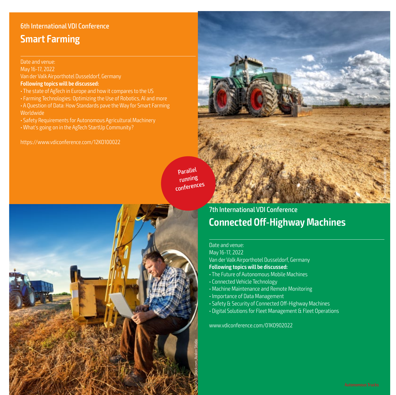## 6th International VDI Conference **Smart Farming**

#### Date and venue:

May 16-17, 2022 Van der Valk Airporthotel Dusseldorf, Germany **Following topics will be discussed:**

- The state of AgTech in Europe and how it compares to the US
- Farming Technologies: Optimizing the Use of Robotics, AI and more • A Question of Data: How Standards pave the Way for Smart Farming
- Worldwide
- Safety Requirements for Autonomous Agricultural Machinery
- What's going on in the AgTech StartUp Community?

https://www.vdiconference.com/12KO100022

Parallel running conferences



## 7th International VDI Conference **Connected Off-Highway Machines**

#### Date and venue:

May 16-17, 2022 Van der Valk Airporthotel Dusseldorf, Germany **Following topics will be discussed:**

- The Future of Autonomous Mobile Machines
- Connected Vehicle Technology
- Machine Maintenance and Remote Monitoring
- Importance of Data Management
- Safety & Security of Connected Off-Highway Machines
- Digital Solutions for Fleet Management & Fleet Operations

www.vdiconference.com/01K0902022

Source: © Superingo\_Fotolia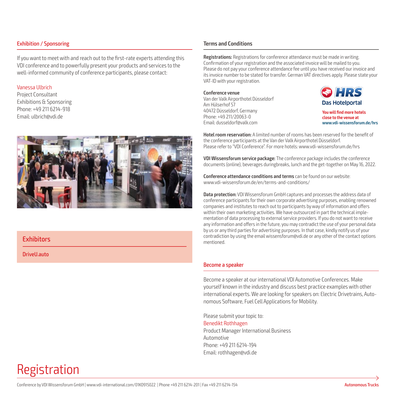#### Exhibition / Sponsoring

If you want to meet with and reach out to the first-rate experts attending this VDI conference and to powerfully present your products and services to the well-informed community of conference participants, please contact:

#### Vanessa Ulbrich

Project Consultant Exhibitions & Sponsoring Phone: +49 211 6214-918 Email: ulbrich@vdi.de



#### **Exhibitors**

DriveU.auto

Registration

#### **Terms and Conditions**

**Registrations:** Registrations for conference attendance must be made in writing. Confirmation of your registration and the associated invoice will be mailed to you. Please do not pay your conference attendance fee until you have received our invoice and its invoice number to be stated for transfer. German VAT directives apply. Please state your VAT-ID with your registration.

**Conference venue** Van der Valk Airporthotel Düsseldorf Am Hülserhof 57 40472 Düsseldorf, Germany Phone: +49 211/20063-0 Email: dusseldorf@valk.com



**You will find more hotels close to the venue at www.vdi-wissensforum.de/hrs**

**Hotel room reservation:** A limited number of rooms has been reserved for the benefit of the conference participants at the Van der Valk Airporthotel Düsseldorf. Please refer to "VDI Conference". For more hotels: www.vdi-wissensforum.de/hrs

**VDI Wissensforum service package:** The conference package includes the conference documents (online), beverages duringbreaks, lunch and the get-together on May 16, 2022.

**Conference attendance conditions and terms** can be found on our website: www.vdi-wissensforum.de/en/terms-and-conditions/

**Data protection:** VDI Wissensforum GmbH captures and processes the address data of conference participants for their own corporate advertising purposes, enabling renowned companies and institutes to reach out to participants by way of information and offers within their own marketing activities. We have outsourced in part the technical implementation of data processing to external service providers. If you do not want to receive any information and offers in the future, you may contradict the use of your personal data by us or any third parties for advertising purposes. In that case, kindly notify us of your contradiction by using the email wissensforum@vdi.de or any other of the contact options mentioned.

#### Become a speaker

Become a speaker at our international VDI Automotive Conferences. Make yourself known in the industry and discuss best practice examples with other international experts. We are looking for speakers on: Electric Drivetrains, Autonomous Software, Fuel Cell Applications for Mobility.

Please submit your topic to: Benedikt Rothhagen Product Manager International Business Automotive Phone: +49 211 6214-194 Email: rothhagen@vdi.de